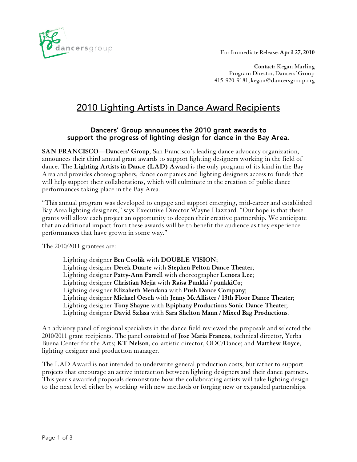For Immediate Release: **April 27, 2010**



**Contact:** Kegan Marling Program Director, Dancers' Group 415-920-9181, kegan@dancersgroup.org

# 2010 Lighting Artists in Dance Award Recipients

## Dancers' Group announces the 2010 grant awards to support the progress of lighting design for dance in the Bay Area.

**SAN FRANCISCO—Dancers' Group**, San Francisco's leading dance advocacy organization, announces their third annual grant awards to support lighting designers working in the field of dance. The **Lighting Artists in Dance (LAD) Award** is the only program of its kind in the Bay Area and provides choreographers, dance companies and lighting designers access to funds that will help support their collaborations, which will culminate in the creation of public dance performances taking place in the Bay Area.

"This annual program was developed to engage and support emerging, mid-career and established Bay Area lighting designers," says Executive Director Wayne Hazzard. "Our hope is that these grants will allow each project an opportunity to deepen their creative partnership. We anticipate that an additional impact from these awards will be to benefit the audience as they experience performances that have grown in some way."

The 2010/2011 grantees are:

Lighting designer **Ben Coolik** with **DOUBLE VISION**; Lighting designer **Derek Duarte** with **Stephen Pelton Dance Theater**; Lighting designer **Patty-Ann Farrell** with choreographer **Lenora Lee**; Lighting designer **Christian Mejia** with **Raisa Punkki / punkkiCo**; Lighting designer **Elizabeth Mendana** with **Push Dance Company**; Lighting designer **Michael Oesch** with **Jenny McAllister / 13th Floor Dance Theater**; Lighting designer **Tony Shayne** with **Epiphany Productions Sonic Dance Theater**; Lighting designer **David Szlasa** with **Sara Shelton Mann / Mixed Bag Productions**.

An advisory panel of regional specialists in the dance field reviewed the proposals and selected the 2010/2011 grant recipients. The panel consisted of **Jose Maria Francos**, technical director, Yerba Buena Center for the Arts; **KT Nelson**, co-artistic director, ODC/Dance; and **Matthew Royce**, lighting designer and production manager.

The LAD Award is not intended to underwrite general production costs, but rather to support projects that encourage an active interaction between lighting designers and their dance partners. This year's awarded proposals demonstrate how the collaborating artists will take lighting design to the next level either by working with new methods or forging new or expanded partnerships.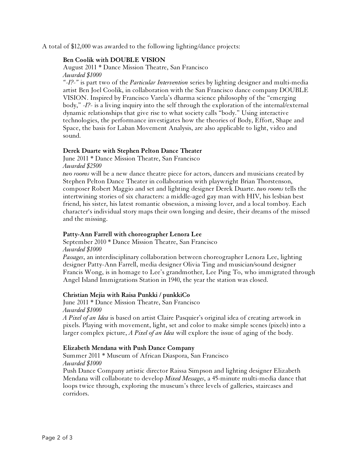A total of \$12,000 was awarded to the following lighting/dance projects:

#### **Ben Coolik with DOUBLE VISION**

August 2011 \* Dance Mission Theatre, San Francisco *Awarded \$1000*

*"-I?-"* is part two of the *Particular Intervention* series by lighting designer and multi-media artist Ben Joel Coolik, in collaboration with the San Francisco dance company DOUBLE VISION. Inspired by Francisco Varela's dharma science philosophy of the "emerging body," *-I?-* is a living inquiry into the self through the exploration of the internal/external dynamic relationships that give rise to what society calls "body." Using interactive technologies, the performance investigates how the theories of Body, Effort, Shape and Space, the basis for Laban Movement Analysis, are also applicable to light, video and sound.

### **Derek Duarte with Stephen Pelton Dance Theater**

June 2011 \* Dance Mission Theatre, San Francisco *Awarded \$2500*

*two rooms* will be a new dance theatre piece for actors, dancers and musicians created by Stephen Pelton Dance Theater in collaboration with playwright Brian Thorstenson, composer Robert Maggio and set and lighting designer Derek Duarte. *two rooms* tells the intertwining stories of six characters: a middle-aged gay man with HIV, his lesbian best friend, his sister, his latest romantic obsession, a missing lover, and a local tomboy. Each character's individual story maps their own longing and desire, their dreams of the missed and the missing.

### **Patty-Ann Farrell with choreographer Lenora Lee**

September 2010 \* Dance Mission Theatre, San Francisco *Awarded \$1000*

*Passages*, an interdisciplinary collaboration between choreographer Lenora Lee, lighting designer Patty-Ann Farrell, media designer Olivia Ting and musician/sound designer Francis Wong, is in homage to Lee's grandmother, Lee Ping To, who immigrated through Angel Island Immigrations Station in 1940, the year the station was closed.

### **Christian Mejia with Raisa Punkki / punkkiCo**

June 2011 \* Dance Mission Theatre, San Francisco *Awarded \$1000*

*A Pixel of an Idea* is based on artist Claire Pasquier's original idea of creating artwork in pixels. Playing with movement, light, set and color to make simple scenes (pixels) into a larger complex picture, *A Pixel of an Idea* will explore the issue of aging of the body.

### **Elizabeth Mendana with Push Dance Company**

Summer 2011 \* Museum of African Diaspora, San Francisco *Awarded \$1000*

Push Dance Company artistic director Raissa Simpson and lighting designer Elizabeth Mendana will collaborate to develop *Mixed Messages*, a 45-minute multi-media dance that loops twice through, exploring the museum's three levels of galleries, staircases and corridors.